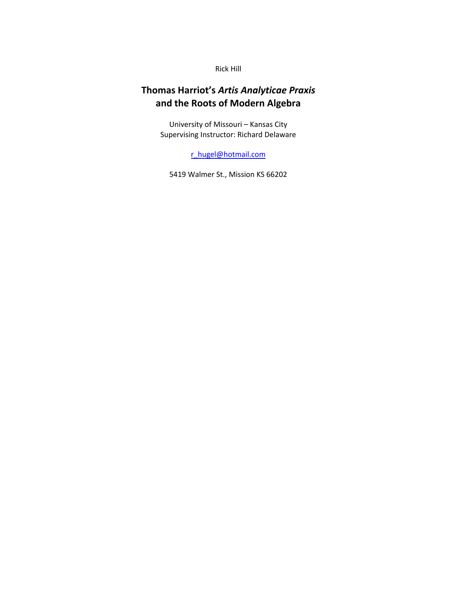Rick Hill

# **Thomas Harriot's** *Artis Analyticae Praxis* **and the Roots of Modern Algebra**

University of Missouri – Kansas City Supervising Instructor: Richard Delaware

r\_hugel@hotmail.com

5419 Walmer St., Mission KS 66202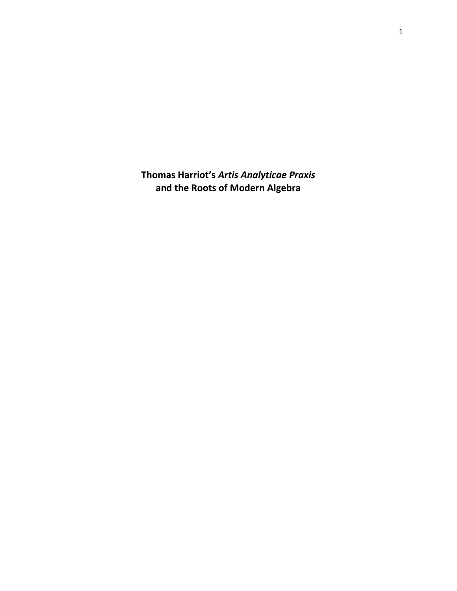**Thomas Harriot's** *Artis Analyticae Praxis* **and the Roots of Modern Algebra**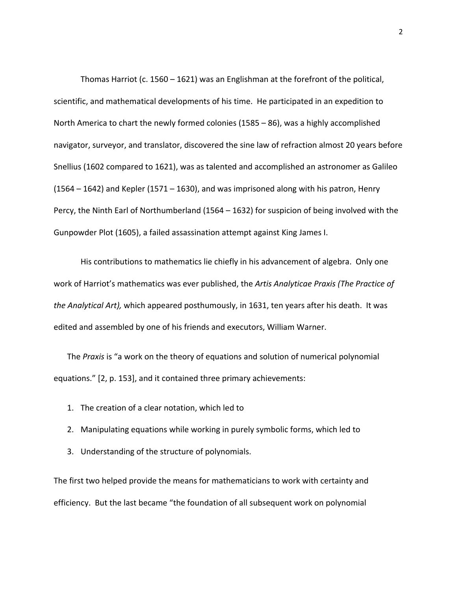Thomas Harriot (c. 1560 – 1621) was an Englishman at the forefront of the political, scientific, and mathematical developments of his time. He participated in an expedition to North America to chart the newly formed colonies (1585 – 86), was a highly accomplished navigator, surveyor, and translator, discovered the sine law of refraction almost 20 years before Snellius (1602 compared to 1621), was as talented and accomplished an astronomer as Galileo  $(1564 – 1642)$  and Kepler  $(1571 – 1630)$ , and was imprisoned along with his patron, Henry Percy, the Ninth Earl of Northumberland (1564 – 1632) for suspicion of being involved with the Gunpowder Plot (1605), a failed assassination attempt against King James I.

His contributions to mathematics lie chiefly in his advancement of algebra. Only one work of Harriot's mathematics was ever published, the *Artis Analyticae Praxis (The Practice of the Analytical Art),* which appeared posthumously, in 1631, ten years after his death. It was edited and assembled by one of his friends and executors, William Warner.

The *Praxis* is "a work on the theory of equations and solution of numerical polynomial equations." [2, p. 153], and it contained three primary achievements:

- 1. The creation of a clear notation, which led to
- 2. Manipulating equations while working in purely symbolic forms, which led to
- 3. Understanding of the structure of polynomials.

The first two helped provide the means for mathematicians to work with certainty and efficiency. But the last became "the foundation of all subsequent work on polynomial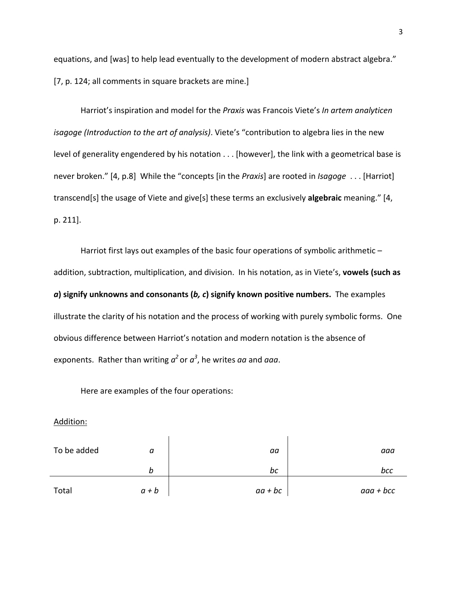equations, and [was] to help lead eventually to the development of modern abstract algebra." [7, p. 124; all comments in square brackets are mine.]

Harriot's inspiration and model for the *Praxis* was Francois Viete's *In artem analyticen isagoge (Introduction to the art of analysis)*. Viete's "contribution to algebra lies in the new level of generality engendered by his notation . . . [however], the link with a geometrical base is never broken." [4, p.8] While the "concepts [in the *Praxis*] are rooted in *Isagoge* . . . [Harriot] transcend[s] the usage of Viete and give[s] these terms an exclusively **algebraic** meaning." [4, p. 211].

Harriot first lays out examples of the basic four operations of symbolic arithmetic addition, subtraction, multiplication, and division. In his notation, as in Viete's, **vowels (such as** *a***) signify unknowns and consonants (***b, c***) signify known positive numbers.** The examples illustrate the clarity of his notation and the process of working with purely symbolic forms. One obvious difference between Harriot's notation and modern notation is the absence of exponents. Rather than writing *a<sup>2</sup>* or *a<sup>3</sup>* , he writes *aa* and *aaa*.

Here are examples of the four operations:

Addition:

| To be added | а       | aa        | aaa         |
|-------------|---------|-----------|-------------|
|             | b       | bc        | bcc         |
| Total       | $a + b$ | $aa + bc$ | $aaa + bcc$ |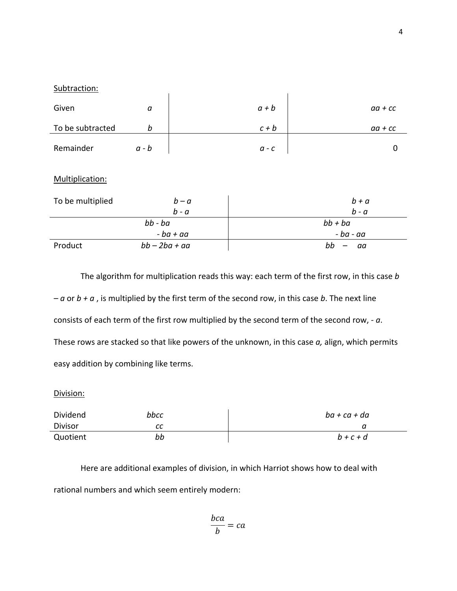| Subtraction:     |             |                    |                                     |                    |
|------------------|-------------|--------------------|-------------------------------------|--------------------|
| Given            | a           |                    | $a + b$                             | $aa + cc$          |
| To be subtracted | $\it{b}$    |                    | $c + b$                             | $aa + cc$          |
| Remainder        | $a - b$     |                    | $\boldsymbol{a}$ - $\boldsymbol{c}$ | 0                  |
| Multiplication:  |             |                    |                                     |                    |
| To be multiplied |             | $b - a$<br>$b - a$ |                                     | $b + a$<br>$b - a$ |
|                  | $bb - ba$   |                    |                                     | $bb + ba$          |
|                  | $-ba + aa$  |                    |                                     | - ba - aa          |
| Product          | $bb-2ba+aa$ |                    |                                     | bb<br>aa           |

The algorithm for multiplication reads this way: each term of the first row, in this case *b – a* or *b + a* , is multiplied by the first term of the second row, in this case *b*. The next line consists of each term of the first row multiplied by the second term of the second row, ‐ *a*. These rows are stacked so that like powers of the unknown, in this case *a,* align, which permits easy addition by combining like terms.

## Division:

| <b>Dividend</b> | bbcc | ba + ca + da |
|-----------------|------|--------------|
| Divisor         | сс   | u            |
| Quotient        | bb   | $b+c+d$      |

Here are additional examples of division, in which Harriot shows how to deal with rational numbers and which seem entirely modern:

$$
\frac{bca}{b} = ca
$$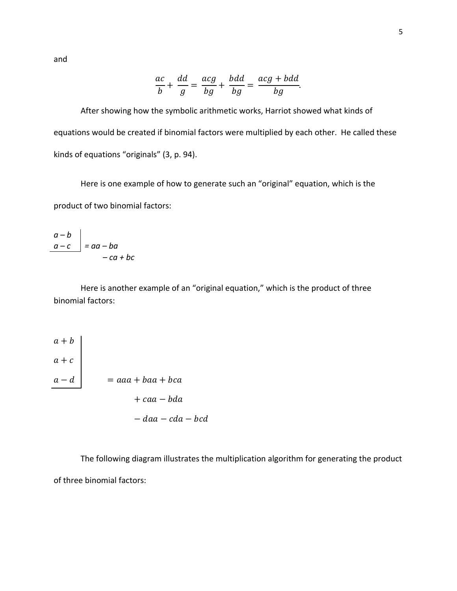and

$$
\frac{ac}{b} + \frac{dd}{g} = \frac{acg}{bg} + \frac{bdd}{bg} = \frac{acg + bdd}{bg}.
$$

After showing how the symbolic arithmetic works, Harriot showed what kinds of equations would be created if binomial factors were multiplied by each other. He called these kinds of equations "originals" (3, p. 94).

Here is one example of how to generate such an "original" equation, which is the product of two binomial factors:

*a – b a – c = aa – ba – ca + bc*

Here is another example of an "original equation," which is the product of three binomial factors:

$$
\begin{array}{c}\n a+b \\
 a+c \\
 \hline\n a-d\n \end{array}\n = aaa + baa + bca \\
 + caa - bda \\
 - daa - cda - bcd
$$

The following diagram illustrates the multiplication algorithm for generating the product of three binomial factors: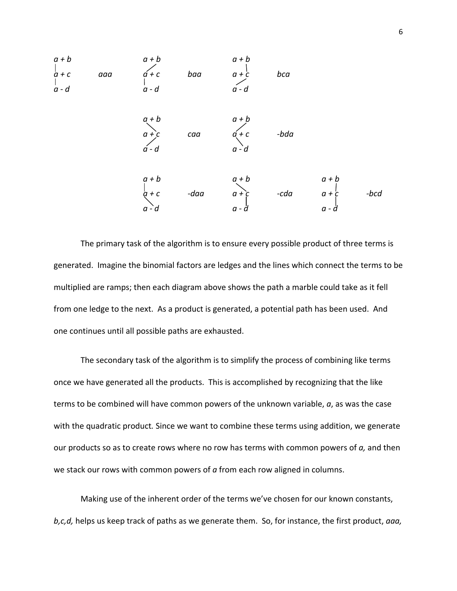

The primary task of the algorithm is to ensure every possible product of three terms is generated. Imagine the binomial factors are ledges and the lines which connect the terms to be multiplied are ramps; then each diagram above shows the path a marble could take as it fell from one ledge to the next. As a product is generated, a potential path has been used. And one continues until all possible paths are exhausted.

The secondary task of the algorithm is to simplify the process of combining like terms once we have generated all the products. This is accomplished by recognizing that the like terms to be combined will have common powers of the unknown variable, *a*, as was the case with the quadratic product*.* Since we want to combine these terms using addition, we generate our products so as to create rows where no row has terms with common powers of *a,* and then we stack our rows with common powers of *a* from each row aligned in columns.

Making use of the inherent order of the terms we've chosen for our known constants, *b,c,d,* helps us keep track of paths as we generate them. So, for instance, the first product, *aaa,*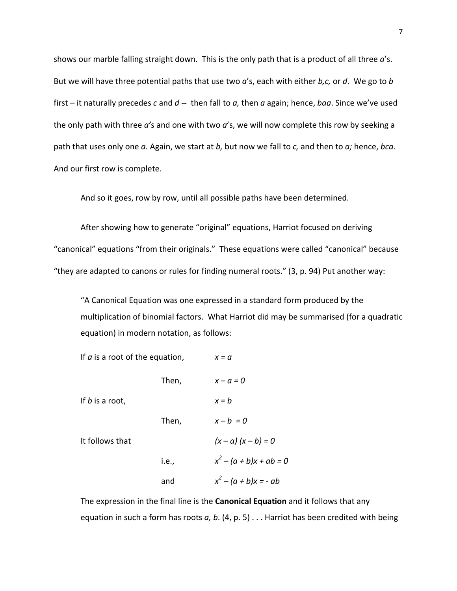shows our marble falling straight down. This is the only path that is a product of all three *a*'s. But we will have three potential paths that use two *a*'s, each with either *b,c,* or *d*. We go to *b* first *–* it naturally precedes *c* and *d* ‐‐ then fall to *a,* then *a* again; hence, *baa*. Since we've used the only path with three *a'*s and one with two *a*'s, we will now complete this row by seeking a path that uses only one *a.* Again, we start at *b,* but now we fall to *c,* and then to *a;* hence, *bca*. And our first row is complete.

And so it goes, row by row, until all possible paths have been determined.

After showing how to generate "original" equations, Harriot focused on deriving "canonical" equations "from their originals." These equations were called "canonical" because "they are adapted to canons or rules for finding numeral roots." (3, p. 94) Put another way:

"A Canonical Equation was one expressed in a standard form produced by the multiplication of binomial factors. What Harriot did may be summarised (for a quadratic equation) in modern notation, as follows:

| If $a$ is a root of the equation, |       | $x = a$                     |
|-----------------------------------|-------|-----------------------------|
|                                   | Then, | $x - a = 0$                 |
| If $b$ is a root,                 |       | $x = b$                     |
|                                   | Then, | $x-b=0$                     |
| It follows that                   |       | $(x - a)(x - b) = 0$        |
|                                   | i.e., | $x^{2} - (a + b)x + ab = 0$ |
|                                   | and   | $x^{2} - (a + b)x = -ab$    |

The expression in the final line is the **Canonical Equation** and it follows that any equation in such a form has roots *a, b*. (4, p. 5) . . . Harriot has been credited with being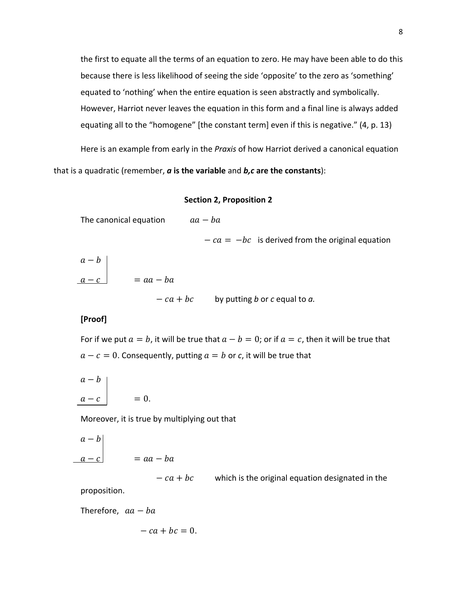the first to equate all the terms of an equation to zero. He may have been able to do this because there is less likelihood of seeing the side 'opposite' to the zero as 'something' equated to 'nothing' when the entire equation is seen abstractly and symbolically. However, Harriot never leaves the equation in this form and a final line is always added equating all to the "homogene" [the constant term] even if this is negative." (4, p. 13)

Here is an example from early in the *Praxis* of how Harriot derived a canonical equation that is a quadratic (remember, *a* **is the variable** and *b,c* **are the constants**):

#### **Section 2, Proposition 2**

The canonical equation  $aa - ba$ 

 $-ca = -bc$  is derived from the original equation

 $a - b$  $= aa - ba$ 

 $-c a + bc$  by putting *b* or *c* equal to *a*.

## **[Proof]**

For if we put  $a = b$ , it will be true that  $a - b = 0$ ; or if  $a = c$ , then it will be true that  $a - c = 0$ . Consequently, putting  $a = b$  or *c*, it will be true that

$$
\begin{array}{c}\n a - b \\
 a - c\n\end{array}\n\bigg|_{\qquad = 0.
$$

Moreover, it is true by multiplying out that

$$
\begin{vmatrix} a - b \\ a - c \end{vmatrix} = aa - ba
$$

 $-ca + bc$  which is the original equation designated in the proposition.

Therefore,  $aa - ba$ 

$$
-ca+bc=0.
$$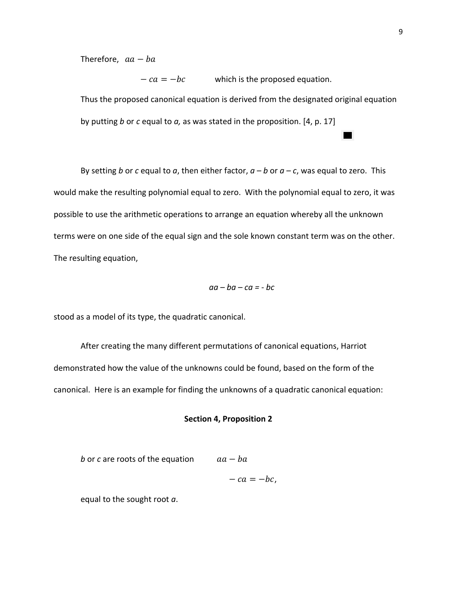Therefore,  $aa - ba$ 

 $-ca = -bc$  which is the proposed equation. Thus the proposed canonical equation is derived from the designated original equation by putting *b* or *c* equal to *a,* as was stated in the proposition. [4, p. 17]

By setting *b* or *c* equal to *a*, then either factor, *a – b* or *a – c*, was equal to zero. This would make the resulting polynomial equal to zero. With the polynomial equal to zero, it was possible to use the arithmetic operations to arrange an equation whereby all the unknown terms were on one side of the equal sign and the sole known constant term was on the other. The resulting equation,

$$
aa - ba - ca = - bc
$$

stood as a model of its type, the quadratic canonical.

After creating the many different permutations of canonical equations, Harriot demonstrated how the value of the unknowns could be found, based on the form of the canonical. Here is an example for finding the unknowns of a quadratic canonical equation:

## **Section 4, Proposition 2**

| b or c are roots of the equation | $aa - ba$ |
|----------------------------------|-----------|
|                                  |           |

 $- ca = -bc$ ,

equal to the sought root *a*.

ш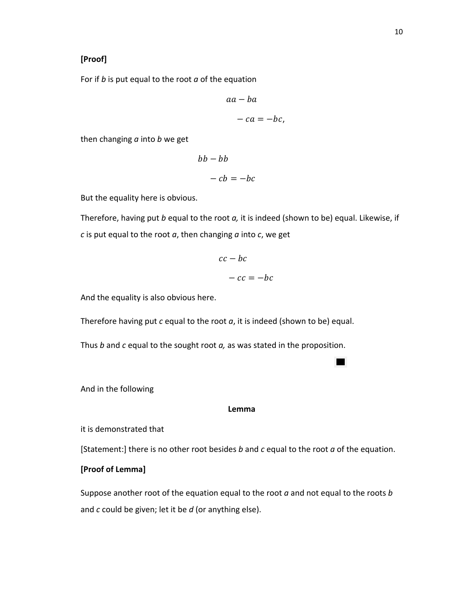## **[Proof]**

For if *b* is put equal to the root *a* of the equation

$$
aa - ba
$$
  

$$
- ca = -bc,
$$

then changing *a* into *b* we get

$$
bb - bb
$$
  

$$
- cb = -bc
$$

But the equality here is obvious.

Therefore, having put *b* equal to the root *a,* it is indeed (shown to be) equal. Likewise, if *c* is put equal to the root *a*, then changing *a* into *c*, we get

$$
cc - bc
$$

$$
- cc = -bc
$$

And the equality is also obvious here.

Therefore having put *c* equal to the root *a*, it is indeed (shown to be) equal.

Thus *b* and *c* equal to the sought root *a,* as was stated in the proposition.

And in the following

**Lemma**

٠

it is demonstrated that

[Statement:] there is no other root besides *b* and *c* equal to the root *a* of the equation.

## **[Proof of Lemma]**

Suppose another root of the equation equal to the root *a* and not equal to the roots *b* and *c* could be given; let it be *d* (or anything else).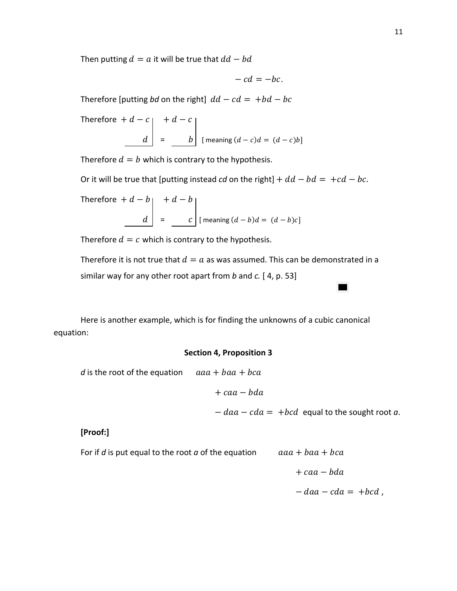Then putting  $d = a$  it will be true that  $dd - bd$ 

$$
-cd=-bc.
$$

Therefore [putting *bd* on the right]  $dd - cd = +bd - bc$ 

Therefore 
$$
+d-c
$$
  
\n $\begin{vmatrix}\n+ d - c \\
 d\n\end{vmatrix}$  =  $\begin{vmatrix}\n+ d - c \\
- b\n\end{vmatrix}$  [ meaning  $(d - c)d = (d - c)b$ ]

Therefore  $d = b$  which is contrary to the hypothesis.

Or it will be true that [putting instead *cd* on the right]  $+ dd - bd = +cd - bc$ .

Therefore 
$$
+d-b
$$
  
\n
$$
= \begin{bmatrix} +d-b \\ d \end{bmatrix}
$$
\n
$$
= \begin{bmatrix} -c \\ c \end{bmatrix}
$$
\n[ meaning  $(d-b)d = (d-b)c$ ]

Therefore  $d = c$  which is contrary to the hypothesis.

Therefore it is not true that  $d = a$  as was assumed. This can be demonstrated in a similar way for any other root apart from *b* and *c.* [ 4, p. 53]

Here is another example, which is for finding the unknowns of a cubic canonical equation:

## **Section 4, Proposition 3**

*d* is the root of the equation  $aaa + baa + bca$ 

 $+$  caa  $-$  bda

 $- daa - cda = +bcd$  equal to the sought root *a*.

## **[Proof:]**

For if *d* is put equal to the root *a* of the equation  $aaa + baa + bca$ 

 $+$  caa  $-$  bda

 $-daa - cda = +bcd$ ,

 $\blacksquare$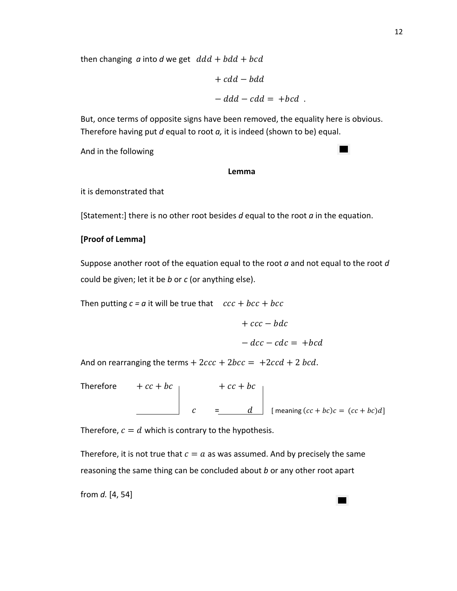then changing  $\alpha$  into  $\alpha$  we get  $\alpha$  dd + bdd + bcd

$$
+ cdd - bdd
$$

$$
- ddd - cdd = + bcd.
$$

But, once terms of opposite signs have been removed, the equality here is obvious. Therefore having put *d* equal to root *a,* it is indeed (shown to be) equal.

And in the following

#### **Lemma**

it is demonstrated that

[Statement:] there is no other root besides *d* equal to the root *a* in the equation.

## **[Proof of Lemma]**

Suppose another root of the equation equal to the root *a* and not equal to the root *d* could be given; let it be *b* or *c* (or anything else).

Then putting  $c = a$  it will be true that  $cc + bcc + bcc$ 

 $+$   $ccc - bdc$  $-dcc - cdc = + bcd$ 

 $\blacksquare$ 

And on rearranging the terms  $+2ccc + 2bcc = +2ccd + 2 bcd$ .

Therefore  $+cc + bc$ <sub>|</sub>  $+cc + bc$  $C = \begin{bmatrix} d \end{bmatrix}$  [meaning  $(cc + bc)c = (cc + bc)d$ ]

Therefore,  $c = d$  which is contrary to the hypothesis.

Therefore, it is not true that  $c = a$  as was assumed. And by precisely the same reasoning the same thing can be concluded about *b* or any other root apart

from *d.* [4, 54]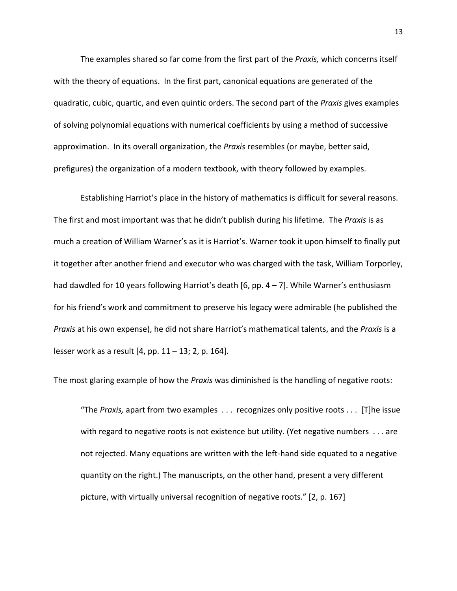The examples shared so far come from the first part of the *Praxis,* which concerns itself with the theory of equations. In the first part, canonical equations are generated of the quadratic, cubic, quartic, and even quintic orders. The second part of the *Praxis* gives examples of solving polynomial equations with numerical coefficients by using a method of successive approximation. In its overall organization, the *Praxis* resembles (or maybe, better said, prefigures) the organization of a modern textbook, with theory followed by examples.

Establishing Harriot's place in the history of mathematics is difficult for several reasons. The first and most important was that he didn't publish during his lifetime. The *Praxis* is as much a creation of William Warner's as it is Harriot's. Warner took it upon himself to finally put it together after another friend and executor who was charged with the task, William Torporley, had dawdled for 10 years following Harriot's death [6, pp. 4 – 7]. While Warner's enthusiasm for his friend's work and commitment to preserve his legacy were admirable (he published the *Praxis* at his own expense), he did not share Harriot's mathematical talents, and the *Praxis* is a lesser work as a result [4, pp. 11 – 13; 2, p. 164].

The most glaring example of how the *Praxis* was diminished is the handling of negative roots:

"The *Praxis,* apart from two examples . . . recognizes only positive roots . . . [T]he issue with regard to negative roots is not existence but utility. (Yet negative numbers . . . are not rejected. Many equations are written with the left‐hand side equated to a negative quantity on the right.) The manuscripts, on the other hand, present a very different picture, with virtually universal recognition of negative roots." [2, p. 167]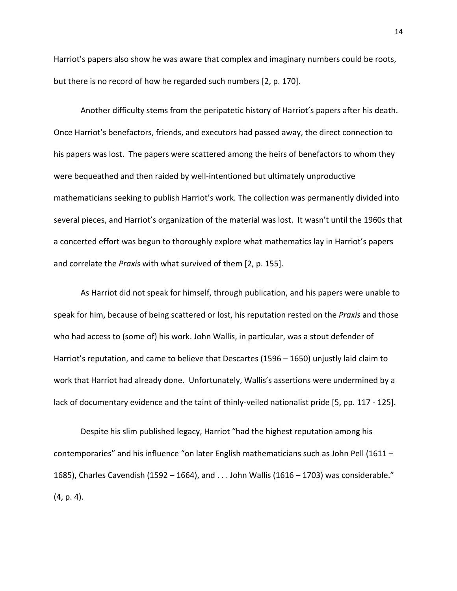Harriot's papers also show he was aware that complex and imaginary numbers could be roots, but there is no record of how he regarded such numbers [2, p. 170].

Another difficulty stems from the peripatetic history of Harriot's papers after his death. Once Harriot's benefactors, friends, and executors had passed away, the direct connection to his papers was lost. The papers were scattered among the heirs of benefactors to whom they were bequeathed and then raided by well-intentioned but ultimately unproductive mathematicians seeking to publish Harriot's work. The collection was permanently divided into several pieces, and Harriot's organization of the material was lost. It wasn't until the 1960s that a concerted effort was begun to thoroughly explore what mathematics lay in Harriot's papers and correlate the *Praxis* with what survived of them [2, p. 155].

As Harriot did not speak for himself, through publication, and his papers were unable to speak for him, because of being scattered or lost, his reputation rested on the *Praxis* and those who had access to (some of) his work. John Wallis, in particular, was a stout defender of Harriot's reputation, and came to believe that Descartes (1596 – 1650) unjustly laid claim to work that Harriot had already done. Unfortunately, Wallis's assertions were undermined by a lack of documentary evidence and the taint of thinly-veiled nationalist pride [5, pp. 117 - 125].

Despite his slim published legacy, Harriot "had the highest reputation among his contemporaries" and his influence "on later English mathematicians such as John Pell (1611 – 1685), Charles Cavendish (1592 – 1664), and . . . John Wallis (1616 – 1703) was considerable." (4, p. 4).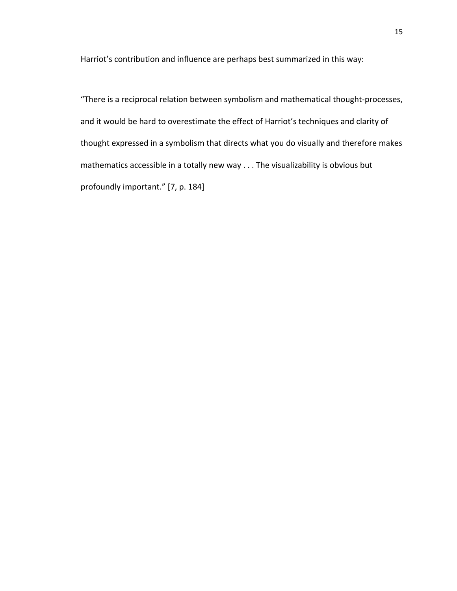Harriot's contribution and influence are perhaps best summarized in this way:

"There is a reciprocal relation between symbolism and mathematical thought‐processes, and it would be hard to overestimate the effect of Harriot's techniques and clarity of thought expressed in a symbolism that directs what you do visually and therefore makes mathematics accessible in a totally new way . . . The visualizability is obvious but profoundly important." [7, p. 184]